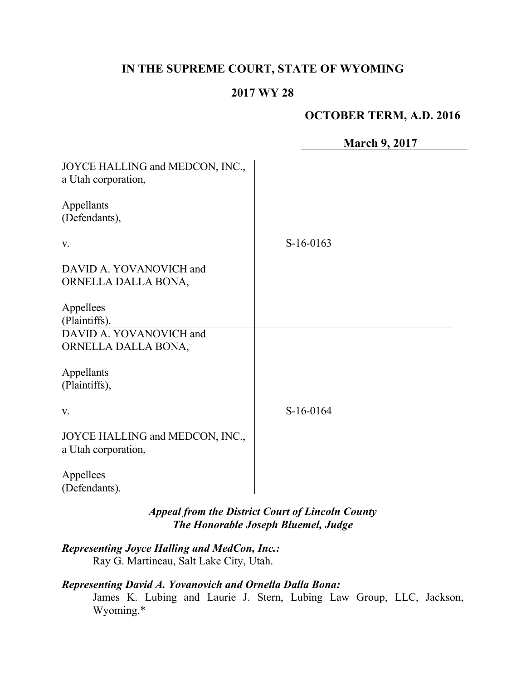# **IN THE SUPREME COURT, STATE OF WYOMING**

#### **2017 WY 28**

## **OCTOBER TERM, A.D. 2016**

|                                                                                                | <b>March 9, 2017</b> |
|------------------------------------------------------------------------------------------------|----------------------|
| JOYCE HALLING and MEDCON, INC.,<br>a Utah corporation,                                         |                      |
| Appellants<br>(Defendants),                                                                    |                      |
| V.                                                                                             | $S-16-0163$          |
| DAVID A. YOVANOVICH and<br>ORNELLA DALLA BONA,                                                 |                      |
| Appellees<br>(Plaintiffs).                                                                     |                      |
| DAVID A. YOVANOVICH and<br>ORNELLA DALLA BONA,                                                 |                      |
| Appellants<br>(Plaintiffs),                                                                    |                      |
| V.                                                                                             | S-16-0164            |
| JOYCE HALLING and MEDCON, INC.,<br>a Utah corporation,                                         |                      |
| Appellees<br>(Defendants).                                                                     |                      |
| <b>Appeal from the District Court of Lincoln County</b><br>The Honorable Joseph Bluemel, Judge |                      |

# *Representing Joyce Halling and MedCon, Inc.:*

Ray G. Martineau, Salt Lake City, Utah.

## *Representing David A. Yovanovich and Ornella Dalla Bona:*

James K. Lubing and Laurie J. Stern, Lubing Law Group, LLC, Jackson, Wyoming.\*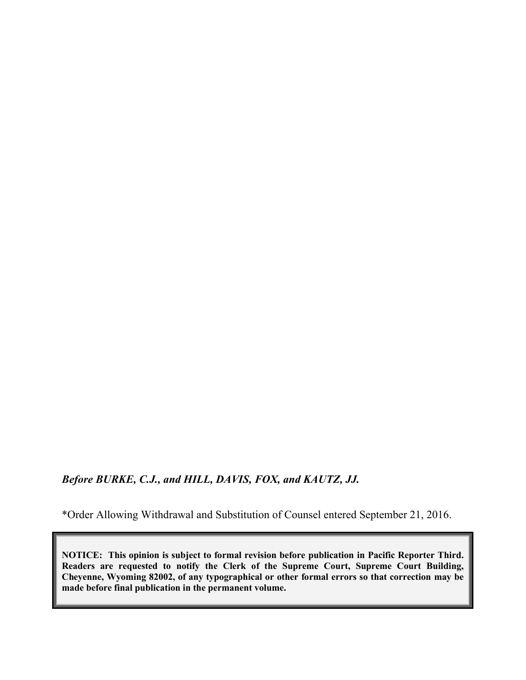*Before BURKE, C.J., and HILL, DAVIS, FOX, and KAUTZ, JJ.*

\*Order Allowing Withdrawal and Substitution of Counsel entered September 21, 2016.

**NOTICE: This opinion is subject to formal revision before publication in Pacific Reporter Third. Readers are requested to notify the Clerk of the Supreme Court, Supreme Court Building, Cheyenne, Wyoming 82002, of any typographical or other formal errors so that correction may be made before final publication in the permanent volume.**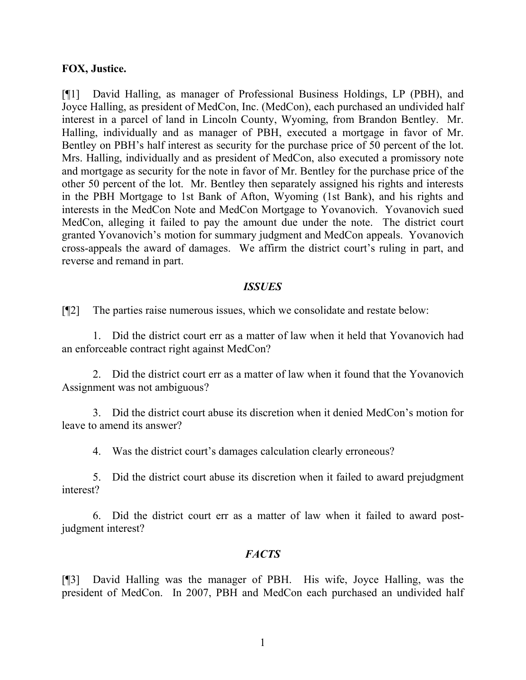#### **FOX, Justice.**

[¶1] David Halling, as manager of Professional Business Holdings, LP (PBH), and Joyce Halling, as president of MedCon, Inc. (MedCon), each purchased an undivided half interest in a parcel of land in Lincoln County, Wyoming, from Brandon Bentley. Mr. Halling, individually and as manager of PBH, executed a mortgage in favor of Mr. Bentley on PBH's half interest as security for the purchase price of 50 percent of the lot. Mrs. Halling, individually and as president of MedCon, also executed a promissory note and mortgage as security for the note in favor of Mr. Bentley for the purchase price of the other 50 percent of the lot. Mr. Bentley then separately assigned his rights and interests in the PBH Mortgage to 1st Bank of Afton, Wyoming (1st Bank), and his rights and interests in the MedCon Note and MedCon Mortgage to Yovanovich. Yovanovich sued MedCon, alleging it failed to pay the amount due under the note. The district court granted Yovanovich's motion for summary judgment and MedCon appeals. Yovanovich cross-appeals the award of damages. We affirm the district court's ruling in part, and reverse and remand in part.

#### *ISSUES*

[¶2] The parties raise numerous issues, which we consolidate and restate below:

1. Did the district court err as a matter of law when it held that Yovanovich had an enforceable contract right against MedCon?

2. Did the district court err as a matter of law when it found that the Yovanovich Assignment was not ambiguous?

3. Did the district court abuse its discretion when it denied MedCon's motion for leave to amend its answer?

4. Was the district court's damages calculation clearly erroneous?

5. Did the district court abuse its discretion when it failed to award prejudgment interest?

6. Did the district court err as a matter of law when it failed to award postjudgment interest?

#### *FACTS*

[¶3] David Halling was the manager of PBH. His wife, Joyce Halling, was the president of MedCon. In 2007, PBH and MedCon each purchased an undivided half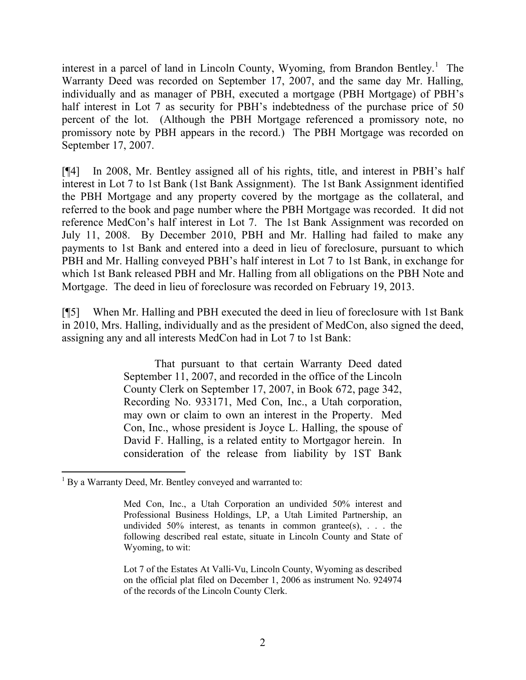interest in a parcel of land in Lincoln County, Wyoming, from Brandon Bentley.<sup>1</sup> The Warranty Deed was recorded on September 17, 2007, and the same day Mr. Halling, individually and as manager of PBH, executed a mortgage (PBH Mortgage) of PBH's half interest in Lot 7 as security for PBH's indebtedness of the purchase price of 50 percent of the lot. (Although the PBH Mortgage referenced a promissory note, no promissory note by PBH appears in the record.) The PBH Mortgage was recorded on September 17, 2007.

[¶4] In 2008, Mr. Bentley assigned all of his rights, title, and interest in PBH's half interest in Lot 7 to 1st Bank (1st Bank Assignment). The 1st Bank Assignment identified the PBH Mortgage and any property covered by the mortgage as the collateral, and referred to the book and page number where the PBH Mortgage was recorded. It did not reference MedCon's half interest in Lot 7. The 1st Bank Assignment was recorded on July 11, 2008. By December 2010, PBH and Mr. Halling had failed to make any payments to 1st Bank and entered into a deed in lieu of foreclosure, pursuant to which PBH and Mr. Halling conveyed PBH's half interest in Lot 7 to 1st Bank, in exchange for which 1st Bank released PBH and Mr. Halling from all obligations on the PBH Note and Mortgage. The deed in lieu of foreclosure was recorded on February 19, 2013.

[¶5] When Mr. Halling and PBH executed the deed in lieu of foreclosure with 1st Bank in 2010, Mrs. Halling, individually and as the president of MedCon, also signed the deed, assigning any and all interests MedCon had in Lot 7 to 1st Bank:

> That pursuant to that certain Warranty Deed dated September 11, 2007, and recorded in the office of the Lincoln County Clerk on September 17, 2007, in Book 672, page 342, Recording No. 933171, Med Con, Inc., a Utah corporation, may own or claim to own an interest in the Property. Med Con, Inc., whose president is Joyce L. Halling, the spouse of David F. Halling, is a related entity to Mortgagor herein. In consideration of the release from liability by 1ST Bank

  $1$  By a Warranty Deed, Mr. Bentley conveyed and warranted to:

Med Con, Inc., a Utah Corporation an undivided 50% interest and Professional Business Holdings, LP, a Utah Limited Partnership, an undivided  $50\%$  interest, as tenants in common grantee(s), ... the following described real estate, situate in Lincoln County and State of Wyoming, to wit:

Lot 7 of the Estates At Valli-Vu, Lincoln County, Wyoming as described on the official plat filed on December 1, 2006 as instrument No. 924974 of the records of the Lincoln County Clerk.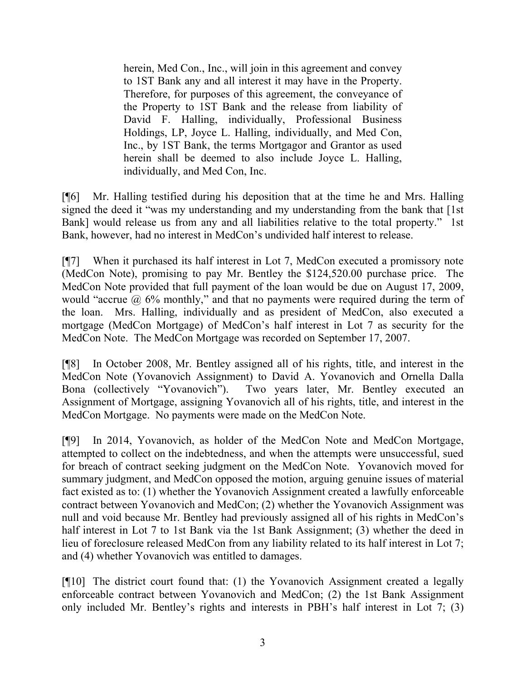herein, Med Con., Inc., will join in this agreement and convey to 1ST Bank any and all interest it may have in the Property. Therefore, for purposes of this agreement, the conveyance of the Property to 1ST Bank and the release from liability of David F. Halling, individually, Professional Business Holdings, LP, Joyce L. Halling, individually, and Med Con, Inc., by 1ST Bank, the terms Mortgagor and Grantor as used herein shall be deemed to also include Joyce L. Halling, individually, and Med Con, Inc.

[¶6] Mr. Halling testified during his deposition that at the time he and Mrs. Halling signed the deed it "was my understanding and my understanding from the bank that [1st Bank] would release us from any and all liabilities relative to the total property." 1st Bank, however, had no interest in MedCon's undivided half interest to release.

[¶7] When it purchased its half interest in Lot 7, MedCon executed a promissory note (MedCon Note), promising to pay Mr. Bentley the \$124,520.00 purchase price. The MedCon Note provided that full payment of the loan would be due on August 17, 2009, would "accrue  $\alpha$  6% monthly," and that no payments were required during the term of the loan. Mrs. Halling, individually and as president of MedCon, also executed a mortgage (MedCon Mortgage) of MedCon's half interest in Lot 7 as security for the MedCon Note. The MedCon Mortgage was recorded on September 17, 2007.

[¶8] In October 2008, Mr. Bentley assigned all of his rights, title, and interest in the MedCon Note (Yovanovich Assignment) to David A. Yovanovich and Ornella Dalla Bona (collectively "Yovanovich"). Two years later, Mr. Bentley executed an Assignment of Mortgage, assigning Yovanovich all of his rights, title, and interest in the MedCon Mortgage. No payments were made on the MedCon Note.

[¶9] In 2014, Yovanovich, as holder of the MedCon Note and MedCon Mortgage, attempted to collect on the indebtedness, and when the attempts were unsuccessful, sued for breach of contract seeking judgment on the MedCon Note. Yovanovich moved for summary judgment, and MedCon opposed the motion, arguing genuine issues of material fact existed as to: (1) whether the Yovanovich Assignment created a lawfully enforceable contract between Yovanovich and MedCon; (2) whether the Yovanovich Assignment was null and void because Mr. Bentley had previously assigned all of his rights in MedCon's half interest in Lot 7 to 1st Bank via the 1st Bank Assignment; (3) whether the deed in lieu of foreclosure released MedCon from any liability related to its half interest in Lot 7; and (4) whether Yovanovich was entitled to damages.

[¶10] The district court found that: (1) the Yovanovich Assignment created a legally enforceable contract between Yovanovich and MedCon; (2) the 1st Bank Assignment only included Mr. Bentley's rights and interests in PBH's half interest in Lot 7; (3)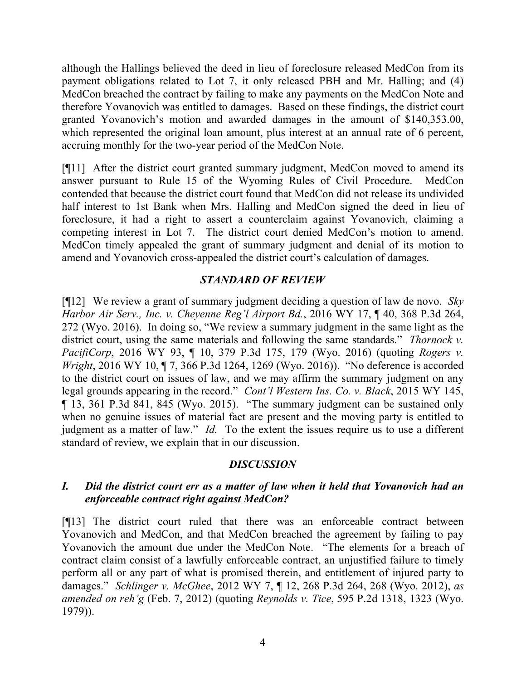although the Hallings believed the deed in lieu of foreclosure released MedCon from its payment obligations related to Lot 7, it only released PBH and Mr. Halling; and (4) MedCon breached the contract by failing to make any payments on the MedCon Note and therefore Yovanovich was entitled to damages. Based on these findings, the district court granted Yovanovich's motion and awarded damages in the amount of \$140,353.00, which represented the original loan amount, plus interest at an annual rate of 6 percent, accruing monthly for the two-year period of the MedCon Note.

[¶11] After the district court granted summary judgment, MedCon moved to amend its answer pursuant to Rule 15 of the Wyoming Rules of Civil Procedure. MedCon contended that because the district court found that MedCon did not release its undivided half interest to 1st Bank when Mrs. Halling and MedCon signed the deed in lieu of foreclosure, it had a right to assert a counterclaim against Yovanovich, claiming a competing interest in Lot 7. The district court denied MedCon's motion to amend. MedCon timely appealed the grant of summary judgment and denial of its motion to amend and Yovanovich cross-appealed the district court's calculation of damages.

## *STANDARD OF REVIEW*

[¶12] We review a grant of summary judgment deciding a question of law de novo. *Sky Harbor Air Serv., Inc. v. Cheyenne Reg'l Airport Bd.*, 2016 WY 17, ¶ 40, 368 P.3d 264, 272 (Wyo. 2016). In doing so, "We review a summary judgment in the same light as the district court, using the same materials and following the same standards." *Thornock v. PacifiCorp*, 2016 WY 93, ¶ 10, 379 P.3d 175, 179 (Wyo. 2016) (quoting *Rogers v. Wright*, 2016 WY 10, 17, 366 P.3d 1264, 1269 (Wyo. 2016)). "No deference is accorded to the district court on issues of law, and we may affirm the summary judgment on any legal grounds appearing in the record." *Cont'l Western Ins. Co. v. Black*, 2015 WY 145, ¶ 13, 361 P.3d 841, 845 (Wyo. 2015). "The summary judgment can be sustained only when no genuine issues of material fact are present and the moving party is entitled to judgment as a matter of law." *Id.* To the extent the issues require us to use a different standard of review, we explain that in our discussion.

## *DISCUSSION*

## *I. Did the district court err as a matter of law when it held that Yovanovich had an enforceable contract right against MedCon?*

[¶13] The district court ruled that there was an enforceable contract between Yovanovich and MedCon, and that MedCon breached the agreement by failing to pay Yovanovich the amount due under the MedCon Note. "The elements for a breach of contract claim consist of a lawfully enforceable contract, an unjustified failure to timely perform all or any part of what is promised therein, and entitlement of injured party to damages." *Schlinger v. McGhee*, 2012 WY 7, ¶ 12, 268 P.3d 264, 268 (Wyo. 2012), *as amended on reh'g* (Feb. 7, 2012) (quoting *Reynolds v. Tice*, 595 P.2d 1318, 1323 (Wyo. 1979)).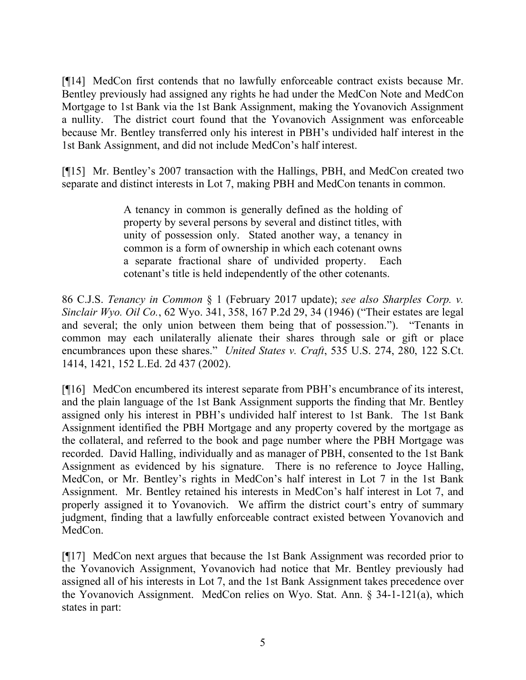[¶14] MedCon first contends that no lawfully enforceable contract exists because Mr. Bentley previously had assigned any rights he had under the MedCon Note and MedCon Mortgage to 1st Bank via the 1st Bank Assignment, making the Yovanovich Assignment a nullity. The district court found that the Yovanovich Assignment was enforceable because Mr. Bentley transferred only his interest in PBH's undivided half interest in the 1st Bank Assignment, and did not include MedCon's half interest.

[¶15] Mr. Bentley's 2007 transaction with the Hallings, PBH, and MedCon created two separate and distinct interests in Lot 7, making PBH and MedCon tenants in common.

> A tenancy in common is generally defined as the holding of property by several persons by several and distinct titles, with unity of possession only. Stated another way, a tenancy in common is a form of ownership in which each cotenant owns a separate fractional share of undivided property. Each cotenant's title is held independently of the other cotenants.

86 C.J.S. *Tenancy in Common* § 1 (February 2017 update); *see also Sharples Corp. v. Sinclair Wyo. Oil Co.*, 62 Wyo. 341, 358, 167 P.2d 29, 34 (1946) ("Their estates are legal and several; the only union between them being that of possession."). "Tenants in common may each unilaterally alienate their shares through sale or gift or place encumbrances upon these shares." *United States v. Craft*, 535 U.S. 274, 280, 122 S.Ct. 1414, 1421, 152 L.Ed. 2d 437 (2002).

[¶16] MedCon encumbered its interest separate from PBH's encumbrance of its interest, and the plain language of the 1st Bank Assignment supports the finding that Mr. Bentley assigned only his interest in PBH's undivided half interest to 1st Bank. The 1st Bank Assignment identified the PBH Mortgage and any property covered by the mortgage as the collateral, and referred to the book and page number where the PBH Mortgage was recorded. David Halling, individually and as manager of PBH, consented to the 1st Bank Assignment as evidenced by his signature. There is no reference to Joyce Halling, MedCon, or Mr. Bentley's rights in MedCon's half interest in Lot 7 in the 1st Bank Assignment. Mr. Bentley retained his interests in MedCon's half interest in Lot 7, and properly assigned it to Yovanovich. We affirm the district court's entry of summary judgment, finding that a lawfully enforceable contract existed between Yovanovich and MedCon.

[¶17] MedCon next argues that because the 1st Bank Assignment was recorded prior to the Yovanovich Assignment, Yovanovich had notice that Mr. Bentley previously had assigned all of his interests in Lot 7, and the 1st Bank Assignment takes precedence over the Yovanovich Assignment. MedCon relies on Wyo. Stat. Ann. § 34-1-121(a), which states in part: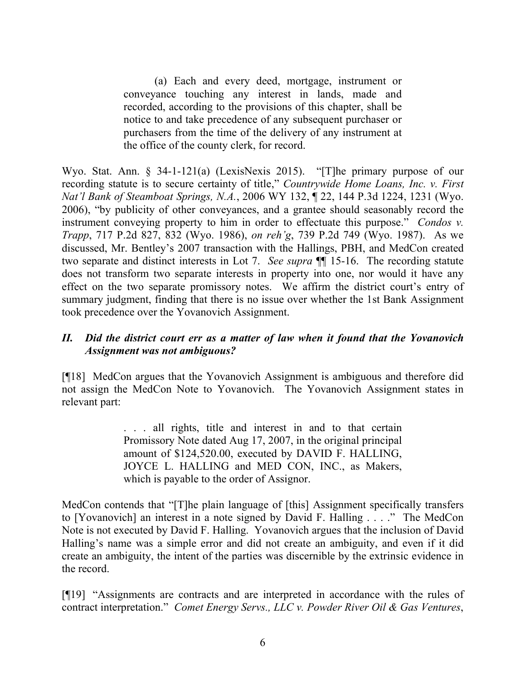(a) Each and every deed, mortgage, instrument or conveyance touching any interest in lands, made and recorded, according to the provisions of this chapter, shall be notice to and take precedence of any subsequent purchaser or purchasers from the time of the delivery of any instrument at the office of the county clerk, for record.

Wyo. Stat. Ann. § 34-1-121(a) (LexisNexis 2015). "[T]he primary purpose of our recording statute is to secure certainty of title," *Countrywide Home Loans, Inc. v. First Nat'l Bank of Steamboat Springs, N.A.*, 2006 WY 132, ¶ 22, 144 P.3d 1224, 1231 (Wyo. 2006), "by publicity of other conveyances, and a grantee should seasonably record the instrument conveying property to him in order to effectuate this purpose." *Condos v. Trapp*, 717 P.2d 827, 832 (Wyo. 1986), *on reh'g*, 739 P.2d 749 (Wyo. 1987). As we discussed, Mr. Bentley's 2007 transaction with the Hallings, PBH, and MedCon created two separate and distinct interests in Lot 7. *See supra* ¶¶ 15-16. The recording statute does not transform two separate interests in property into one, nor would it have any effect on the two separate promissory notes. We affirm the district court's entry of summary judgment, finding that there is no issue over whether the 1st Bank Assignment took precedence over the Yovanovich Assignment.

### *II. Did the district court err as a matter of law when it found that the Yovanovich Assignment was not ambiguous?*

[¶18] MedCon argues that the Yovanovich Assignment is ambiguous and therefore did not assign the MedCon Note to Yovanovich. The Yovanovich Assignment states in relevant part:

> . . . all rights, title and interest in and to that certain Promissory Note dated Aug 17, 2007, in the original principal amount of \$124,520.00, executed by DAVID F. HALLING, JOYCE L. HALLING and MED CON, INC., as Makers, which is payable to the order of Assignor.

MedCon contends that "[T]he plain language of [this] Assignment specifically transfers to [Yovanovich] an interest in a note signed by David F. Halling . . . ." The MedCon Note is not executed by David F. Halling. Yovanovich argues that the inclusion of David Halling's name was a simple error and did not create an ambiguity, and even if it did create an ambiguity, the intent of the parties was discernible by the extrinsic evidence in the record.

[¶19] "Assignments are contracts and are interpreted in accordance with the rules of contract interpretation." *Comet Energy Servs., LLC v. Powder River Oil & Gas Ventures*,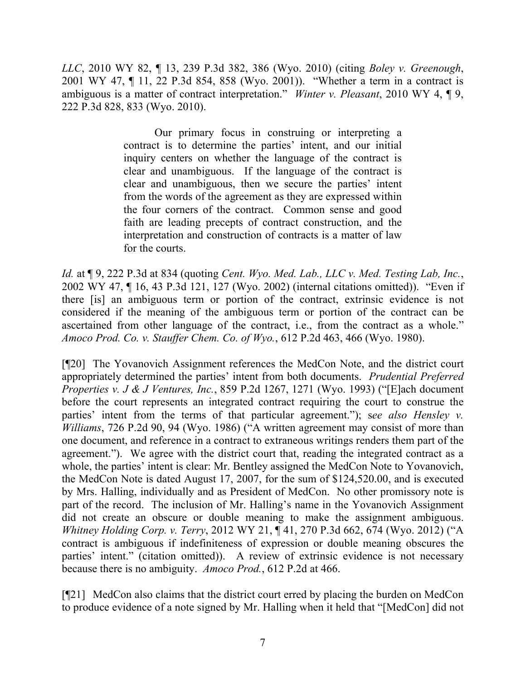*LLC*, 2010 WY 82, ¶ 13, 239 P.3d 382, 386 (Wyo. 2010) (citing *Boley v. Greenough*, 2001 WY 47, ¶ 11, 22 P.3d 854, 858 (Wyo. 2001)). "Whether a term in a contract is ambiguous is a matter of contract interpretation." *Winter v. Pleasant*, 2010 WY 4, ¶ 9, 222 P.3d 828, 833 (Wyo. 2010).

> Our primary focus in construing or interpreting a contract is to determine the parties' intent, and our initial inquiry centers on whether the language of the contract is clear and unambiguous. If the language of the contract is clear and unambiguous, then we secure the parties' intent from the words of the agreement as they are expressed within the four corners of the contract. Common sense and good faith are leading precepts of contract construction, and the interpretation and construction of contracts is a matter of law for the courts.

*Id.* at ¶ 9, 222 P.3d at 834 (quoting *Cent. Wyo. Med. Lab., LLC v. Med. Testing Lab, Inc.*, 2002 WY 47, ¶ 16, 43 P.3d 121, 127 (Wyo. 2002) (internal citations omitted)). "Even if there [is] an ambiguous term or portion of the contract, extrinsic evidence is not considered if the meaning of the ambiguous term or portion of the contract can be ascertained from other language of the contract, i.e., from the contract as a whole." *Amoco Prod. Co. v. Stauffer Chem. Co. of Wyo.*, 612 P.2d 463, 466 (Wyo. 1980).

[¶20] The Yovanovich Assignment references the MedCon Note, and the district court appropriately determined the parties' intent from both documents. *Prudential Preferred Properties v. J & J Ventures, Inc.*, 859 P.2d 1267, 1271 (Wyo. 1993) ("[E]ach document before the court represents an integrated contract requiring the court to construe the parties' intent from the terms of that particular agreement."); s*ee also Hensley v. Williams*, 726 P.2d 90, 94 (Wyo. 1986) ("A written agreement may consist of more than one document, and reference in a contract to extraneous writings renders them part of the agreement."). We agree with the district court that, reading the integrated contract as a whole, the parties' intent is clear: Mr. Bentley assigned the MedCon Note to Yovanovich, the MedCon Note is dated August 17, 2007, for the sum of \$124,520.00, and is executed by Mrs. Halling, individually and as President of MedCon. No other promissory note is part of the record. The inclusion of Mr. Halling's name in the Yovanovich Assignment did not create an obscure or double meaning to make the assignment ambiguous. *Whitney Holding Corp. v. Terry*, 2012 WY 21, ¶ 41, 270 P.3d 662, 674 (Wyo. 2012) ("A contract is ambiguous if indefiniteness of expression or double meaning obscures the parties' intent." (citation omitted)). A review of extrinsic evidence is not necessary because there is no ambiguity. *Amoco Prod.*, 612 P.2d at 466.

[¶21] MedCon also claims that the district court erred by placing the burden on MedCon to produce evidence of a note signed by Mr. Halling when it held that "[MedCon] did not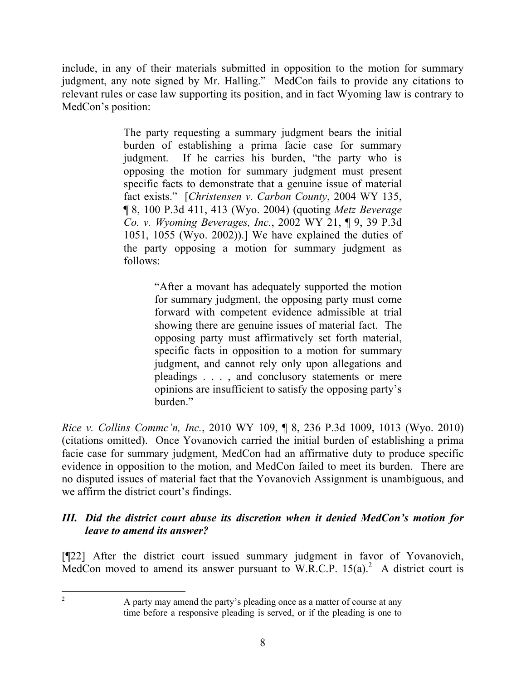include, in any of their materials submitted in opposition to the motion for summary judgment, any note signed by Mr. Halling." MedCon fails to provide any citations to relevant rules or case law supporting its position, and in fact Wyoming law is contrary to MedCon's position:

> The party requesting a summary judgment bears the initial burden of establishing a prima facie case for summary judgment. If he carries his burden, "the party who is opposing the motion for summary judgment must present specific facts to demonstrate that a genuine issue of material fact exists." [*Christensen v. Carbon County*, 2004 WY 135, ¶ 8, 100 P.3d 411, 413 (Wyo. 2004) (quoting *Metz Beverage Co. v. Wyoming Beverages, Inc.*, 2002 WY 21, ¶ 9, 39 P.3d 1051, 1055 (Wyo. 2002)).] We have explained the duties of the party opposing a motion for summary judgment as follows:

> > "After a movant has adequately supported the motion for summary judgment, the opposing party must come forward with competent evidence admissible at trial showing there are genuine issues of material fact. The opposing party must affirmatively set forth material, specific facts in opposition to a motion for summary judgment, and cannot rely only upon allegations and pleadings . . . , and conclusory statements or mere opinions are insufficient to satisfy the opposing party's burden."

*Rice v. Collins Commc'n, Inc.*, 2010 WY 109, ¶ 8, 236 P.3d 1009, 1013 (Wyo. 2010) (citations omitted). Once Yovanovich carried the initial burden of establishing a prima facie case for summary judgment, MedCon had an affirmative duty to produce specific evidence in opposition to the motion, and MedCon failed to meet its burden. There are no disputed issues of material fact that the Yovanovich Assignment is unambiguous, and we affirm the district court's findings.

## *III. Did the district court abuse its discretion when it denied MedCon's motion for leave to amend its answer?*

[¶22] After the district court issued summary judgment in favor of Yovanovich, MedCon moved to amend its answer pursuant to W.R.C.P.  $15(a)$ <sup>2</sup> A district court is

<sup>2</sup> A party may amend the party's pleading once as a matter of course at any time before a responsive pleading is served, or if the pleading is one to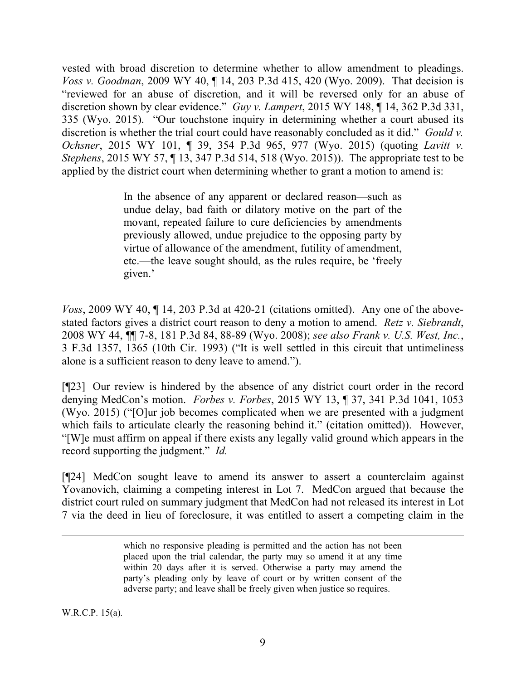vested with broad discretion to determine whether to allow amendment to pleadings. *Voss v. Goodman*, 2009 WY 40, ¶ 14, 203 P.3d 415, 420 (Wyo. 2009). That decision is "reviewed for an abuse of discretion, and it will be reversed only for an abuse of discretion shown by clear evidence." *Guy v. Lampert*, 2015 WY 148, ¶ 14, 362 P.3d 331, 335 (Wyo. 2015). "Our touchstone inquiry in determining whether a court abused its discretion is whether the trial court could have reasonably concluded as it did." *Gould v. Ochsner*, 2015 WY 101, ¶ 39, 354 P.3d 965, 977 (Wyo. 2015) (quoting *Lavitt v. Stephens*, 2015 WY 57, ¶ 13, 347 P.3d 514, 518 (Wyo. 2015)). The appropriate test to be applied by the district court when determining whether to grant a motion to amend is:

> In the absence of any apparent or declared reason—such as undue delay, bad faith or dilatory motive on the part of the movant, repeated failure to cure deficiencies by amendments previously allowed, undue prejudice to the opposing party by virtue of allowance of the amendment, futility of amendment, etc.—the leave sought should, as the rules require, be 'freely given.'

*Voss*, 2009 WY 40, ¶ 14, 203 P.3d at 420-21 (citations omitted). Any one of the abovestated factors gives a district court reason to deny a motion to amend. *Retz v. Siebrandt*, 2008 WY 44, ¶¶ 7-8, 181 P.3d 84, 88-89 (Wyo. 2008); *see also Frank v. U.S. West, Inc.*, 3 F.3d 1357, 1365 (10th Cir. 1993) ("It is well settled in this circuit that untimeliness alone is a sufficient reason to deny leave to amend.").

[¶23] Our review is hindered by the absence of any district court order in the record denying MedCon's motion. *Forbes v. Forbes*, 2015 WY 13, ¶ 37, 341 P.3d 1041, 1053 (Wyo. 2015) ("[O]ur job becomes complicated when we are presented with a judgment which fails to articulate clearly the reasoning behind it." (citation omitted)). However, "[W]e must affirm on appeal if there exists any legally valid ground which appears in the record supporting the judgment." *Id.*

[¶24] MedCon sought leave to amend its answer to assert a counterclaim against Yovanovich, claiming a competing interest in Lot 7. MedCon argued that because the district court ruled on summary judgment that MedCon had not released its interest in Lot 7 via the deed in lieu of foreclosure, it was entitled to assert a competing claim in the

W.R.C.P. 15(a).

which no responsive pleading is permitted and the action has not been placed upon the trial calendar, the party may so amend it at any time within 20 days after it is served. Otherwise a party may amend the party's pleading only by leave of court or by written consent of the adverse party; and leave shall be freely given when justice so requires.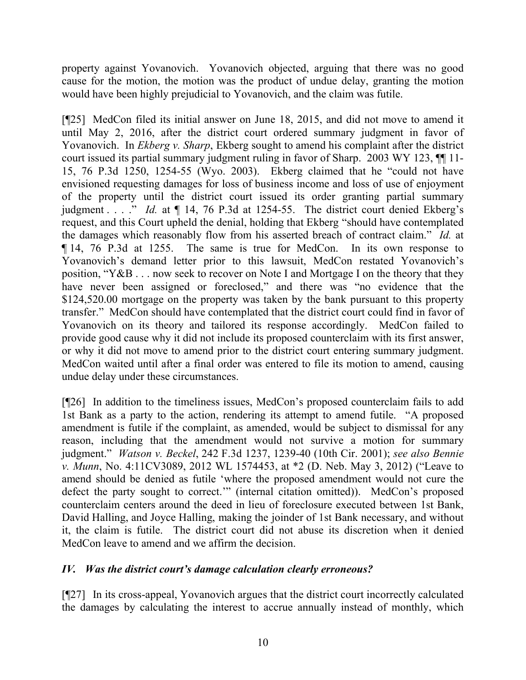property against Yovanovich. Yovanovich objected, arguing that there was no good cause for the motion, the motion was the product of undue delay, granting the motion would have been highly prejudicial to Yovanovich, and the claim was futile.

[¶25] MedCon filed its initial answer on June 18, 2015, and did not move to amend it until May 2, 2016, after the district court ordered summary judgment in favor of Yovanovich. In *Ekberg v. Sharp*, Ekberg sought to amend his complaint after the district court issued its partial summary judgment ruling in favor of Sharp. 2003 WY 123, ¶¶ 11- 15, 76 P.3d 1250, 1254-55 (Wyo. 2003). Ekberg claimed that he "could not have envisioned requesting damages for loss of business income and loss of use of enjoyment of the property until the district court issued its order granting partial summary judgment . . . ." *Id.* at ¶ 14, 76 P.3d at 1254-55. The district court denied Ekberg's request, and this Court upheld the denial, holding that Ekberg "should have contemplated the damages which reasonably flow from his asserted breach of contract claim." *Id.* at ¶ 14, 76 P.3d at 1255.The same is true for MedCon. In its own response to Yovanovich's demand letter prior to this lawsuit, MedCon restated Yovanovich's position, "Y&B . . . now seek to recover on Note I and Mortgage I on the theory that they have never been assigned or foreclosed," and there was "no evidence that the \$124,520.00 mortgage on the property was taken by the bank pursuant to this property transfer." MedCon should have contemplated that the district court could find in favor of Yovanovich on its theory and tailored its response accordingly. MedCon failed to provide good cause why it did not include its proposed counterclaim with its first answer, or why it did not move to amend prior to the district court entering summary judgment. MedCon waited until after a final order was entered to file its motion to amend, causing undue delay under these circumstances.

[¶26] In addition to the timeliness issues, MedCon's proposed counterclaim fails to add 1st Bank as a party to the action, rendering its attempt to amend futile. "A proposed amendment is futile if the complaint, as amended, would be subject to dismissal for any reason, including that the amendment would not survive a motion for summary judgment." *Watson v. Beckel*, 242 F.3d 1237, 1239-40 (10th Cir. 2001); *see also Bennie v. Munn*, No. 4:11CV3089, 2012 WL 1574453, at \*2 (D. Neb. May 3, 2012) ("Leave to amend should be denied as futile 'where the proposed amendment would not cure the defect the party sought to correct.'" (internal citation omitted)). MedCon's proposed counterclaim centers around the deed in lieu of foreclosure executed between 1st Bank, David Halling, and Joyce Halling, making the joinder of 1st Bank necessary, and without it, the claim is futile. The district court did not abuse its discretion when it denied MedCon leave to amend and we affirm the decision.

## *IV. Was the district court's damage calculation clearly erroneous?*

[¶27] In its cross-appeal, Yovanovich argues that the district court incorrectly calculated the damages by calculating the interest to accrue annually instead of monthly, which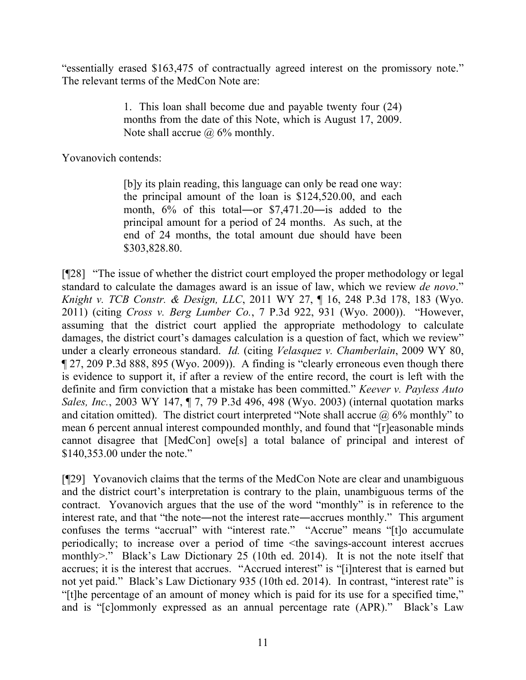"essentially erased \$163,475 of contractually agreed interest on the promissory note." The relevant terms of the MedCon Note are:

> 1. This loan shall become due and payable twenty four (24) months from the date of this Note, which is August 17, 2009. Note shall accrue  $\omega$  6% monthly.

Yovanovich contends:

[b]y its plain reading, this language can only be read one way: the principal amount of the loan is \$124,520.00, and each month,  $6\%$  of this total—or \$7,471.20—is added to the principal amount for a period of 24 months. As such, at the end of 24 months, the total amount due should have been \$303,828.80.

[¶28] "The issue of whether the district court employed the proper methodology or legal standard to calculate the damages award is an issue of law, which we review *de novo*." *Knight v. TCB Constr. & Design, LLC*, 2011 WY 27, ¶ 16, 248 P.3d 178, 183 (Wyo. 2011) (citing *Cross v. Berg Lumber Co.*, 7 P.3d 922, 931 (Wyo. 2000)). "However, assuming that the district court applied the appropriate methodology to calculate damages, the district court's damages calculation is a question of fact, which we review" under a clearly erroneous standard. *Id.* (citing *Velasquez v. Chamberlain*, 2009 WY 80, ¶ 27, 209 P.3d 888, 895 (Wyo. 2009)). A finding is "clearly erroneous even though there is evidence to support it, if after a review of the entire record, the court is left with the definite and firm conviction that a mistake has been committed." *Keever v. Payless Auto Sales, Inc.*, 2003 WY 147, ¶ 7, 79 P.3d 496, 498 (Wyo. 2003) (internal quotation marks and citation omitted). The district court interpreted "Note shall accrue  $\omega$  6% monthly" to mean 6 percent annual interest compounded monthly, and found that "[r]easonable minds cannot disagree that [MedCon] owe[s] a total balance of principal and interest of \$140,353.00 under the note."

[¶29] Yovanovich claims that the terms of the MedCon Note are clear and unambiguous and the district court's interpretation is contrary to the plain, unambiguous terms of the contract. Yovanovich argues that the use of the word "monthly" is in reference to the interest rate, and that "the note―not the interest rate―accrues monthly." This argument confuses the terms "accrual" with "interest rate." "Accrue" means "[t]o accumulate periodically; to increase over a period of time <the savings-account interest accrues monthly>." Black's Law Dictionary 25 (10th ed. 2014). It is not the note itself that accrues; it is the interest that accrues. "Accrued interest" is "[i]nterest that is earned but not yet paid." Black's Law Dictionary 935 (10th ed. 2014). In contrast, "interest rate" is "[t]he percentage of an amount of money which is paid for its use for a specified time," and is "[c]ommonly expressed as an annual percentage rate (APR)." Black's Law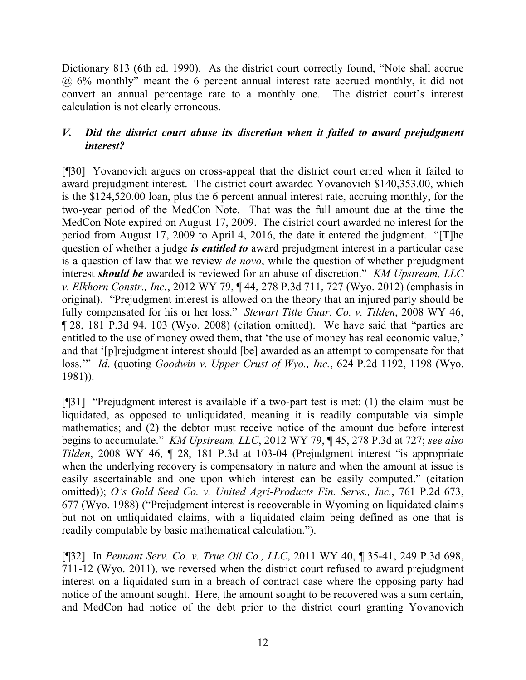Dictionary 813 (6th ed. 1990). As the district court correctly found, "Note shall accrue @ 6% monthly" meant the 6 percent annual interest rate accrued monthly, it did not convert an annual percentage rate to a monthly one. The district court's interest calculation is not clearly erroneous.

## *V. Did the district court abuse its discretion when it failed to award prejudgment interest?*

[¶30] Yovanovich argues on cross-appeal that the district court erred when it failed to award prejudgment interest. The district court awarded Yovanovich \$140,353.00, which is the \$124,520.00 loan, plus the 6 percent annual interest rate, accruing monthly, for the two-year period of the MedCon Note. That was the full amount due at the time the MedCon Note expired on August 17, 2009. The district court awarded no interest for the period from August 17, 2009 to April 4, 2016, the date it entered the judgment. "[T]he question of whether a judge *is entitled to* award prejudgment interest in a particular case is a question of law that we review *de novo*, while the question of whether prejudgment interest *should be* awarded is reviewed for an abuse of discretion." *KM Upstream, LLC v. Elkhorn Constr., Inc.*, 2012 WY 79, ¶ 44, 278 P.3d 711, 727 (Wyo. 2012) (emphasis in original). "Prejudgment interest is allowed on the theory that an injured party should be fully compensated for his or her loss." *Stewart Title Guar. Co. v. Tilden*, 2008 WY 46, ¶ 28, 181 P.3d 94, 103 (Wyo. 2008) (citation omitted). We have said that "parties are entitled to the use of money owed them, that 'the use of money has real economic value,' and that '[p]rejudgment interest should [be] awarded as an attempt to compensate for that loss.'" *Id*. (quoting *Goodwin v. Upper Crust of Wyo., Inc.*, 624 P.2d 1192, 1198 (Wyo. 1981)).

[¶31] "Prejudgment interest is available if a two-part test is met: (1) the claim must be liquidated, as opposed to unliquidated, meaning it is readily computable via simple mathematics; and (2) the debtor must receive notice of the amount due before interest begins to accumulate." *KM Upstream, LLC*, 2012 WY 79, ¶ 45, 278 P.3d at 727; *see also Tilden*, 2008 WY 46, ¶ 28, 181 P.3d at 103-04 (Prejudgment interest "is appropriate when the underlying recovery is compensatory in nature and when the amount at issue is easily ascertainable and one upon which interest can be easily computed." (citation omitted)); *O's Gold Seed Co. v. United Agri-Products Fin. Servs., Inc.*, 761 P.2d 673, 677 (Wyo. 1988) ("Prejudgment interest is recoverable in Wyoming on liquidated claims but not on unliquidated claims, with a liquidated claim being defined as one that is readily computable by basic mathematical calculation.").

[¶32] In *Pennant Serv. Co. v. True Oil Co., LLC*, 2011 WY 40, ¶ 35-41, 249 P.3d 698, 711-12 (Wyo. 2011), we reversed when the district court refused to award prejudgment interest on a liquidated sum in a breach of contract case where the opposing party had notice of the amount sought. Here, the amount sought to be recovered was a sum certain, and MedCon had notice of the debt prior to the district court granting Yovanovich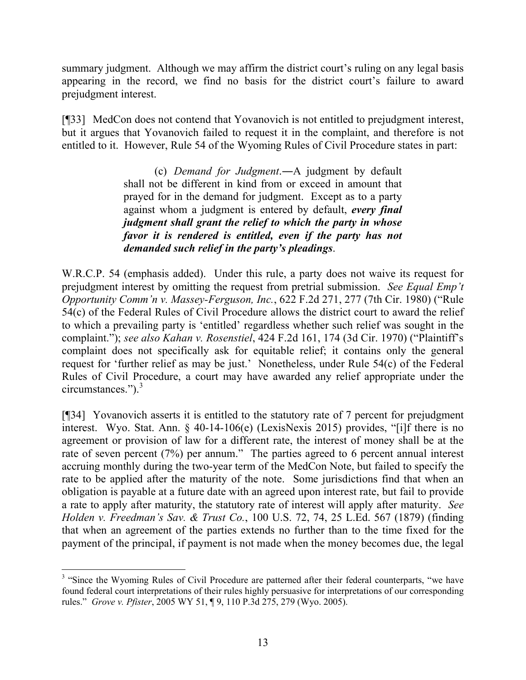summary judgment. Although we may affirm the district court's ruling on any legal basis appearing in the record, we find no basis for the district court's failure to award prejudgment interest.

[¶33] MedCon does not contend that Yovanovich is not entitled to prejudgment interest, but it argues that Yovanovich failed to request it in the complaint, and therefore is not entitled to it. However, Rule 54 of the Wyoming Rules of Civil Procedure states in part:

> (c) *Demand for Judgment*.―A judgment by default shall not be different in kind from or exceed in amount that prayed for in the demand for judgment. Except as to a party against whom a judgment is entered by default, *every final judgment shall grant the relief to which the party in whose favor it is rendered is entitled, even if the party has not demanded such relief in the party's pleadings*.

W.R.C.P. 54 (emphasis added). Under this rule, a party does not waive its request for prejudgment interest by omitting the request from pretrial submission. *See Equal Emp't Opportunity Comm'n v. Massey-Ferguson, Inc.*, 622 F.2d 271, 277 (7th Cir. 1980) ("Rule 54(c) of the Federal Rules of Civil Procedure allows the district court to award the relief to which a prevailing party is 'entitled' regardless whether such relief was sought in the complaint."); *see also Kahan v. Rosenstiel*, 424 F.2d 161, 174 (3d Cir. 1970) ("Plaintiff's complaint does not specifically ask for equitable relief; it contains only the general request for 'further relief as may be just.' Nonetheless, under Rule 54(c) of the Federal Rules of Civil Procedure, a court may have awarded any relief appropriate under the circumstances."). 3

[¶34] Yovanovich asserts it is entitled to the statutory rate of 7 percent for prejudgment interest. Wyo. Stat. Ann. § 40-14-106(e) (LexisNexis 2015) provides, "[i]f there is no agreement or provision of law for a different rate, the interest of money shall be at the rate of seven percent (7%) per annum." The parties agreed to 6 percent annual interest accruing monthly during the two-year term of the MedCon Note, but failed to specify the rate to be applied after the maturity of the note. Some jurisdictions find that when an obligation is payable at a future date with an agreed upon interest rate, but fail to provide a rate to apply after maturity, the statutory rate of interest will apply after maturity. *See Holden v. Freedman's Sav. & Trust Co.*, 100 U.S. 72, 74, 25 L.Ed. 567 (1879) (finding that when an agreement of the parties extends no further than to the time fixed for the payment of the principal, if payment is not made when the money becomes due, the legal

<sup>&</sup>lt;sup>3</sup> "Since the Wyoming Rules of Civil Procedure are patterned after their federal counterparts, "we have found federal court interpretations of their rules highly persuasive for interpretations of our corresponding rules." *Grove v. Pfister*, 2005 WY 51, ¶ 9, 110 P.3d 275, 279 (Wyo. 2005).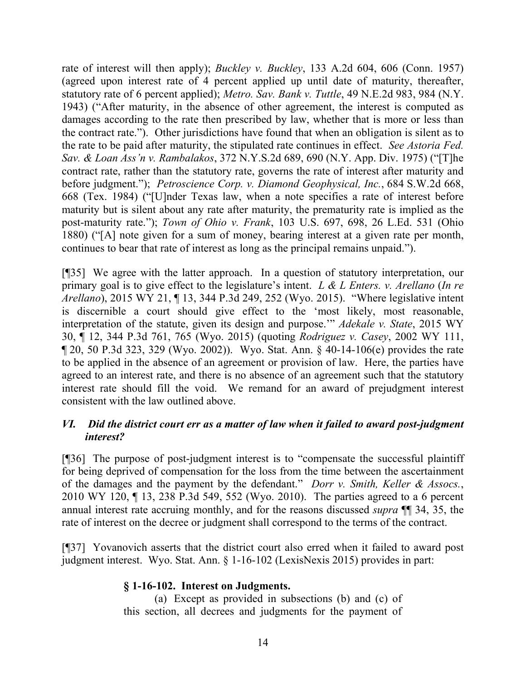rate of interest will then apply); *Buckley v. Buckley*, 133 A.2d 604, 606 (Conn. 1957) (agreed upon interest rate of 4 percent applied up until date of maturity, thereafter, statutory rate of 6 percent applied); *Metro. Sav. Bank v. Tuttle*, 49 N.E.2d 983, 984 (N.Y. 1943) ("After maturity, in the absence of other agreement, the interest is computed as damages according to the rate then prescribed by law, whether that is more or less than the contract rate."). Other jurisdictions have found that when an obligation is silent as to the rate to be paid after maturity, the stipulated rate continues in effect. *See Astoria Fed. Sav. & Loan Ass'n v. Rambalakos*, 372 N.Y.S.2d 689, 690 (N.Y. App. Div. 1975) ("[T]he contract rate, rather than the statutory rate, governs the rate of interest after maturity and before judgment."); *Petroscience Corp. v. Diamond Geophysical, Inc.*, 684 S.W.2d 668, 668 (Tex. 1984) ("[U]nder Texas law, when a note specifies a rate of interest before maturity but is silent about any rate after maturity, the prematurity rate is implied as the post-maturity rate."); *Town of Ohio v. Frank*, 103 U.S. 697, 698, 26 L.Ed. 531 (Ohio 1880) ("[A] note given for a sum of money, bearing interest at a given rate per month, continues to bear that rate of interest as long as the principal remains unpaid.").

[¶35] We agree with the latter approach. In a question of statutory interpretation, our primary goal is to give effect to the legislature's intent. *L & L Enters. v. Arellano* (*In re Arellano*), 2015 WY 21, ¶ 13, 344 P.3d 249, 252 (Wyo. 2015). "Where legislative intent is discernible a court should give effect to the 'most likely, most reasonable, interpretation of the statute, given its design and purpose.'" *Adekale v. State*, 2015 WY 30, ¶ 12, 344 P.3d 761, 765 (Wyo. 2015) (quoting *Rodriguez v. Casey*, 2002 WY 111, ¶ 20, 50 P.3d 323, 329 (Wyo. 2002)). Wyo. Stat. Ann. § 40-14-106(e) provides the rate to be applied in the absence of an agreement or provision of law. Here, the parties have agreed to an interest rate, and there is no absence of an agreement such that the statutory interest rate should fill the void. We remand for an award of prejudgment interest consistent with the law outlined above.

## *VI. Did the district court err as a matter of law when it failed to award post-judgment interest?*

[¶36] The purpose of post-judgment interest is to "compensate the successful plaintiff for being deprived of compensation for the loss from the time between the ascertainment of the damages and the payment by the defendant." *Dorr v. Smith, Keller & Assocs.*, 2010 WY 120, ¶ 13, 238 P.3d 549, 552 (Wyo. 2010). The parties agreed to a 6 percent annual interest rate accruing monthly, and for the reasons discussed *supra* ¶¶ 34, 35, the rate of interest on the decree or judgment shall correspond to the terms of the contract.

[¶37] Yovanovich asserts that the district court also erred when it failed to award post judgment interest. Wyo. Stat. Ann. § 1-16-102 (LexisNexis 2015) provides in part:

## **§ 1-16-102. Interest on Judgments.**

(a) Except as provided in subsections (b) and (c) of this section, all decrees and judgments for the payment of